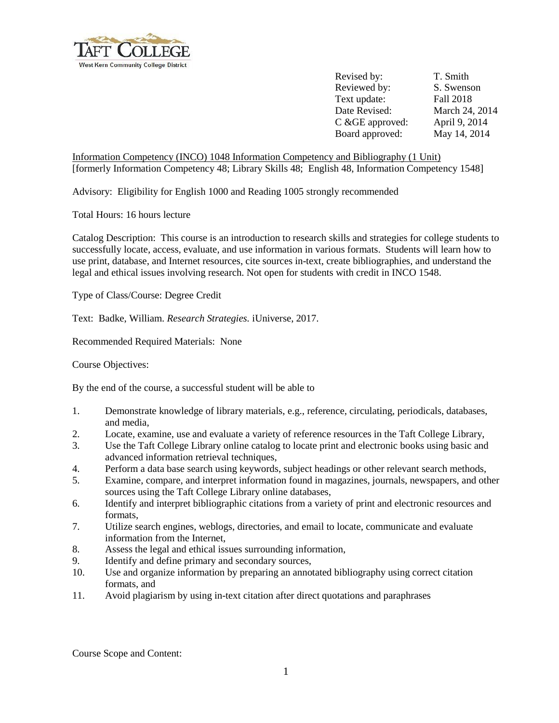

Revised by: T. Smith Reviewed by: S. Swenson Text update: Fall 2018 Date Revised: March 24, 2014 C &GE approved: April 9, 2014 Board approved: May 14, 2014

Information Competency (INCO) 1048 Information Competency and Bibliography (1 Unit) [formerly Information Competency 48; Library Skills 48; English 48, Information Competency 1548]

Advisory: Eligibility for English 1000 and Reading 1005 strongly recommended

Total Hours: 16 hours lecture

Catalog Description: This course is an introduction to research skills and strategies for college students to successfully locate, access, evaluate, and use information in various formats. Students will learn how to use print, database, and Internet resources, cite sources in-text, create bibliographies, and understand the legal and ethical issues involving research. Not open for students with credit in INCO 1548.

Type of Class/Course: Degree Credit

Text: Badke, William. *Research Strategies.* iUniverse, 2017.

Recommended Required Materials: None

Course Objectives:

By the end of the course, a successful student will be able to

- 1. Demonstrate knowledge of library materials, e.g., reference, circulating, periodicals, databases, and media,
- 2. Locate, examine, use and evaluate a variety of reference resources in the Taft College Library,
- 3. Use the Taft College Library online catalog to locate print and electronic books using basic and advanced information retrieval techniques,
- 4. Perform a data base search using keywords, subject headings or other relevant search methods,
- 5. Examine, compare, and interpret information found in magazines, journals, newspapers, and other sources using the Taft College Library online databases,
- 6. Identify and interpret bibliographic citations from a variety of print and electronic resources and formats,
- 7. Utilize search engines, weblogs, directories, and email to locate, communicate and evaluate information from the Internet,
- 8. Assess the legal and ethical issues surrounding information,
- 9. Identify and define primary and secondary sources,
- 10. Use and organize information by preparing an annotated bibliography using correct citation formats, and
- 11. Avoid plagiarism by using in-text citation after direct quotations and paraphrases

Course Scope and Content: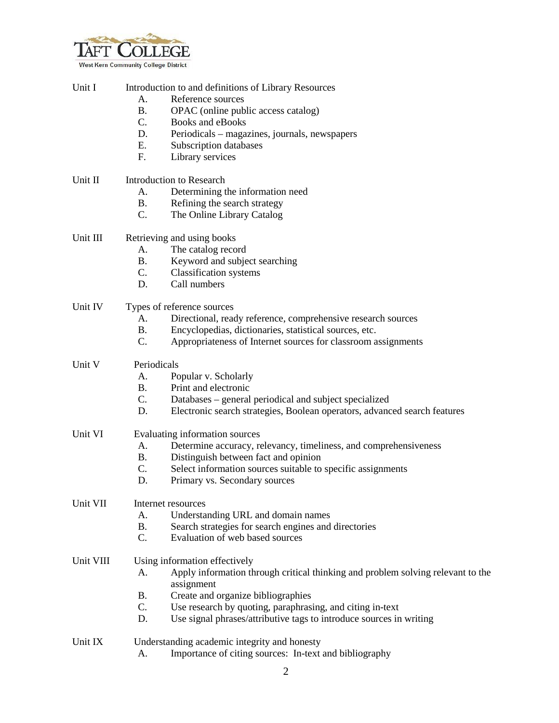

| Unit I    | Introduction to and definitions of Library Resources                                                |
|-----------|-----------------------------------------------------------------------------------------------------|
|           | Reference sources<br>A.                                                                             |
|           | <b>B.</b><br>OPAC (online public access catalog)                                                    |
|           | C.<br>Books and eBooks                                                                              |
|           | D.<br>Periodicals – magazines, journals, newspapers                                                 |
|           | E.<br>Subscription databases                                                                        |
|           | F.<br>Library services                                                                              |
|           |                                                                                                     |
| Unit II   | <b>Introduction to Research</b>                                                                     |
|           | Determining the information need<br>A.                                                              |
|           | <b>B.</b><br>Refining the search strategy                                                           |
|           | C.<br>The Online Library Catalog                                                                    |
| Unit III  | Retrieving and using books                                                                          |
|           | A.<br>The catalog record                                                                            |
|           | <b>B.</b><br>Keyword and subject searching                                                          |
|           | C.<br><b>Classification</b> systems                                                                 |
|           | Call numbers<br>D.                                                                                  |
| Unit IV   | Types of reference sources                                                                          |
|           | A.<br>Directional, ready reference, comprehensive research sources                                  |
|           | <b>B.</b><br>Encyclopedias, dictionaries, statistical sources, etc.                                 |
|           | C.<br>Appropriateness of Internet sources for classroom assignments                                 |
| Unit V    | Periodicals                                                                                         |
|           | Popular v. Scholarly<br>А.                                                                          |
|           | <b>B.</b><br>Print and electronic                                                                   |
|           | C.<br>Databases – general periodical and subject specialized                                        |
|           | D.<br>Electronic search strategies, Boolean operators, advanced search features                     |
| Unit VI   | Evaluating information sources                                                                      |
|           | A.<br>Determine accuracy, relevancy, timeliness, and comprehensiveness                              |
|           | Distinguish between fact and opinion<br><b>B.</b>                                                   |
|           | C.<br>Select information sources suitable to specific assignments                                   |
|           | D.<br>Primary vs. Secondary sources                                                                 |
| Unit VII  | Internet resources                                                                                  |
|           | Understanding URL and domain names<br>A.                                                            |
|           | Search strategies for search engines and directories<br><b>B.</b>                                   |
|           | C.<br>Evaluation of web based sources                                                               |
| Unit VIII | Using information effectively                                                                       |
|           | Apply information through critical thinking and problem solving relevant to the<br>A.<br>assignment |
|           | Create and organize bibliographies<br><b>B.</b>                                                     |
|           | C.<br>Use research by quoting, paraphrasing, and citing in-text                                     |
|           | Use signal phrases/attributive tags to introduce sources in writing<br>D.                           |
| Unit IX   | Understanding academic integrity and honesty                                                        |
|           | Importance of citing sources: In-text and bibliography<br>A.                                        |